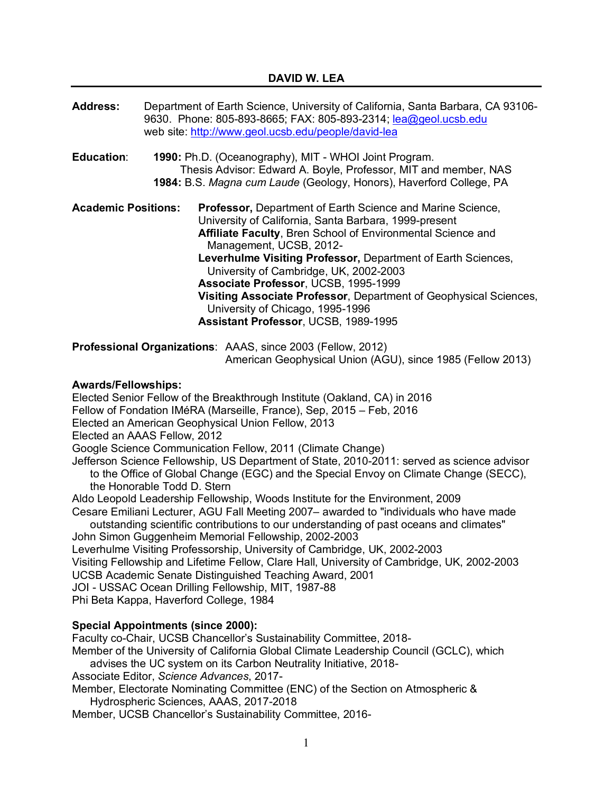|                            | Department of Earth Science, University of California, Santa Barbara, CA 93106-<br>9630. Phone: 805-893-8665; FAX: 805-893-2314; lea@geol.ucsb.edu<br>web site: http://www.geol.ucsb.edu/people/david-lea                                                                                                                                                                                                                                                                                                               |
|----------------------------|-------------------------------------------------------------------------------------------------------------------------------------------------------------------------------------------------------------------------------------------------------------------------------------------------------------------------------------------------------------------------------------------------------------------------------------------------------------------------------------------------------------------------|
|                            | 1990: Ph.D. (Oceanography), MIT - WHOI Joint Program.<br>Thesis Advisor: Edward A. Boyle, Professor, MIT and member, NAS<br>1984: B.S. Magna cum Laude (Geology, Honors), Haverford College, PA                                                                                                                                                                                                                                                                                                                         |
| <b>Academic Positions:</b> | <b>Professor, Department of Earth Science and Marine Science,</b><br>University of California, Santa Barbara, 1999-present<br>Affiliate Faculty, Bren School of Environmental Science and<br>Management, UCSB, 2012-<br>Leverhulme Visiting Professor, Department of Earth Sciences,<br>University of Cambridge, UK, 2002-2003<br>Associate Professor, UCSB, 1995-1999<br>Visiting Associate Professor, Department of Geophysical Sciences,<br>University of Chicago, 1995-1996<br>Assistant Professor, UCSB, 1989-1995 |
|                            |                                                                                                                                                                                                                                                                                                                                                                                                                                                                                                                         |

**Professional Organizations**: AAAS, since 2003 (Fellow, 2012) American Geophysical Union (AGU), since 1985 (Fellow 2013)

## **Awards/Fellowships:**

Elected Senior Fellow of the Breakthrough Institute (Oakland, CA) in 2016 Fellow of Fondation IMéRA (Marseille, France), Sep, 2015 – Feb, 2016 Elected an American Geophysical Union Fellow, 2013 Elected an AAAS Fellow, 2012 Google Science Communication Fellow, 2011 (Climate Change) Jefferson Science Fellowship, US Department of State, 2010-2011: served as science advisor to the Office of Global Change (EGC) and the Special Envoy on Climate Change (SECC), the Honorable Todd D. Stern Aldo Leopold Leadership Fellowship, Woods Institute for the Environment, 2009 Cesare Emiliani Lecturer, AGU Fall Meeting 2007– awarded to "individuals who have made outstanding scientific contributions to our understanding of past oceans and climates" John Simon Guggenheim Memorial Fellowship, 2002-2003 Leverhulme Visiting Professorship, University of Cambridge, UK, 2002-2003 Visiting Fellowship and Lifetime Fellow, Clare Hall, University of Cambridge, UK, 2002-2003 UCSB Academic Senate Distinguished Teaching Award, 2001 JOI - USSAC Ocean Drilling Fellowship, MIT, 1987-88 Phi Beta Kappa, Haverford College, 1984

# **Special Appointments (since 2000):**

Faculty co-Chair, UCSB Chancellor's Sustainability Committee, 2018- Member of the University of California Global Climate Leadership Council (GCLC), which advises the UC system on its Carbon Neutrality Initiative, 2018- Associate Editor, *Science Advances*, 2017- Member, Electorate Nominating Committee (ENC) of the Section on Atmospheric & Hydrospheric Sciences, AAAS, 2017-2018 Member, UCSB Chancellor's Sustainability Committee, 2016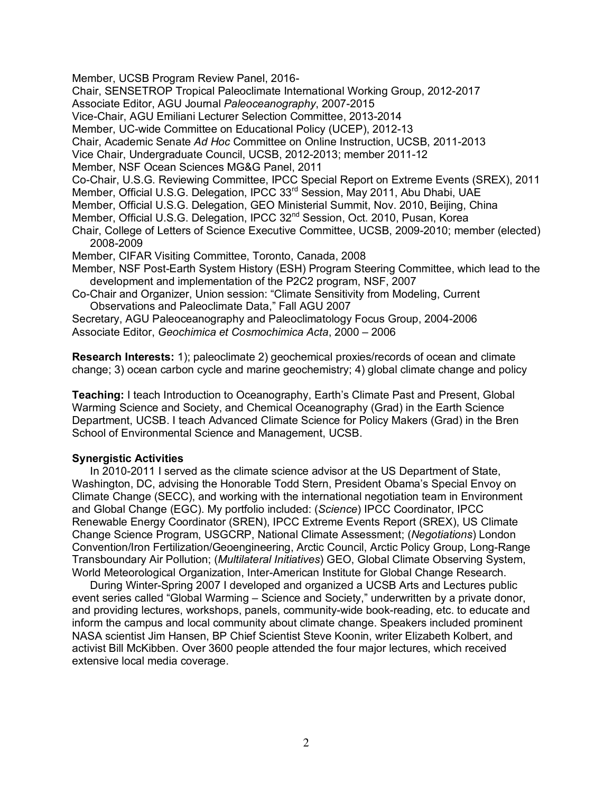Member, UCSB Program Review Panel, 2016-

Chair, SENSETROP Tropical Paleoclimate International Working Group, 2012-2017

Associate Editor, AGU Journal *Paleoceanography*, 2007-2015

Vice-Chair, AGU Emiliani Lecturer Selection Committee, 2013-2014

Member, UC-wide Committee on Educational Policy (UCEP), 2012-13

Chair, Academic Senate *Ad Hoc* Committee on Online Instruction, UCSB, 2011-2013

Vice Chair, Undergraduate Council, UCSB, 2012-2013; member 2011-12

Member, NSF Ocean Sciences MG&G Panel, 2011

Co-Chair, U.S.G. Reviewing Committee, IPCC Special Report on Extreme Events (SREX), 2011

Member, Official U.S.G. Delegation, IPCC 33<sup>rd</sup> Session, May 2011, Abu Dhabi, UAE

Member, Official U.S.G. Delegation, GEO Ministerial Summit, Nov. 2010, Beijing, China

Member, Official U.S.G. Delegation, IPCC 32nd Session, Oct. 2010, Pusan, Korea

- Chair, College of Letters of Science Executive Committee, UCSB, 2009-2010; member (elected) 2008-2009
- Member, CIFAR Visiting Committee, Toronto, Canada, 2008
- Member, NSF Post-Earth System History (ESH) Program Steering Committee, which lead to the development and implementation of the P2C2 program, NSF, 2007

Co-Chair and Organizer, Union session: "Climate Sensitivity from Modeling, Current Observations and Paleoclimate Data," Fall AGU 2007

Secretary, AGU Paleoceanography and Paleoclimatology Focus Group, 2004-2006 Associate Editor, *Geochimica et Cosmochimica Acta*, 2000 – 2006

**Research Interests:** 1); paleoclimate 2) geochemical proxies/records of ocean and climate change; 3) ocean carbon cycle and marine geochemistry; 4) global climate change and policy

**Teaching:** I teach Introduction to Oceanography, Earth's Climate Past and Present, Global Warming Science and Society, and Chemical Oceanography (Grad) in the Earth Science Department, UCSB. I teach Advanced Climate Science for Policy Makers (Grad) in the Bren School of Environmental Science and Management, UCSB.

## **Synergistic Activities**

In 2010-2011 I served as the climate science advisor at the US Department of State, Washington, DC, advising the Honorable Todd Stern, President Obama's Special Envoy on Climate Change (SECC), and working with the international negotiation team in Environment and Global Change (EGC). My portfolio included: (*Science*) IPCC Coordinator, IPCC Renewable Energy Coordinator (SREN), IPCC Extreme Events Report (SREX), US Climate Change Science Program, USGCRP, National Climate Assessment; (*Negotiations*) London Convention/Iron Fertilization/Geoengineering, Arctic Council, Arctic Policy Group, Long-Range Transboundary Air Pollution; (*Multilateral Initiatives*) GEO, Global Climate Observing System, World Meteorological Organization, Inter-American Institute for Global Change Research.

During Winter-Spring 2007 I developed and organized a UCSB Arts and Lectures public event series called "Global Warming – Science and Society," underwritten by a private donor, and providing lectures, workshops, panels, community-wide book-reading, etc. to educate and inform the campus and local community about climate change. Speakers included prominent NASA scientist Jim Hansen, BP Chief Scientist Steve Koonin, writer Elizabeth Kolbert, and activist Bill McKibben. Over 3600 people attended the four major lectures, which received extensive local media coverage.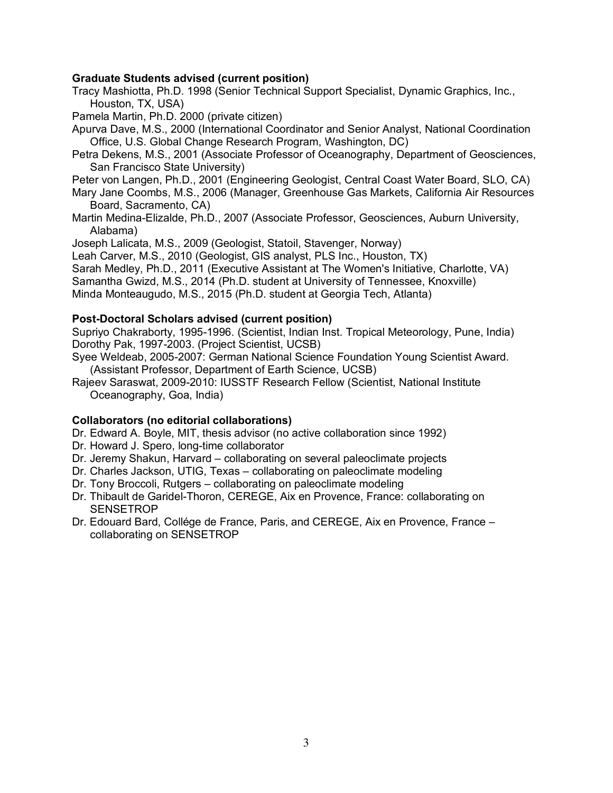# **Graduate Students advised (current position)**

Tracy Mashiotta, Ph.D. 1998 (Senior Technical Support Specialist, Dynamic Graphics, Inc., Houston, TX, USA)

Pamela Martin, Ph.D. 2000 (private citizen)

Apurva Dave, M.S., 2000 (International Coordinator and Senior Analyst, National Coordination Office, U.S. Global Change Research Program, Washington, DC)

Petra Dekens, M.S., 2001 (Associate Professor of Oceanography, Department of Geosciences, San Francisco State University)

Peter von Langen, Ph.D., 2001 (Engineering Geologist, Central Coast Water Board, SLO, CA)

Mary Jane Coombs, M.S., 2006 (Manager, Greenhouse Gas Markets, California Air Resources Board, Sacramento, CA)

Martin Medina-Elizalde, Ph.D., 2007 (Associate Professor, Geosciences, Auburn University, Alabama)

Joseph Lalicata, M.S., 2009 (Geologist, Statoil, Stavenger, Norway)

Leah Carver, M.S., 2010 (Geologist, GIS analyst, PLS Inc., Houston, TX)

Sarah Medley, Ph.D., 2011 (Executive Assistant at The Women's Initiative, Charlotte, VA)

Samantha Gwizd, M.S., 2014 (Ph.D. student at University of Tennessee, Knoxville)

Minda Monteaugudo, M.S., 2015 (Ph.D. student at Georgia Tech, Atlanta)

### **Post-Doctoral Scholars advised (current position)**

Supriyo Chakraborty, 1995-1996. (Scientist, Indian Inst. Tropical Meteorology, Pune, India) Dorothy Pak, 1997-2003. (Project Scientist, UCSB)

Syee Weldeab, 2005-2007: German National Science Foundation Young Scientist Award. (Assistant Professor, Department of Earth Science, UCSB)

Rajeev Saraswat, 2009-2010: IUSSTF Research Fellow (Scientist, National Institute Oceanography, Goa, India)

### **Collaborators (no editorial collaborations)**

Dr. Edward A. Boyle, MIT, thesis advisor (no active collaboration since 1992)

Dr. Howard J. Spero, long-time collaborator

- Dr. Jeremy Shakun, Harvard collaborating on several paleoclimate projects
- Dr. Charles Jackson, UTIG, Texas collaborating on paleoclimate modeling
- Dr. Tony Broccoli, Rutgers collaborating on paleoclimate modeling
- Dr. Thibault de Garidel-Thoron, CEREGE, Aix en Provence, France: collaborating on **SENSETROP**
- Dr. Edouard Bard, Collége de France, Paris, and CEREGE, Aix en Provence, France collaborating on SENSETROP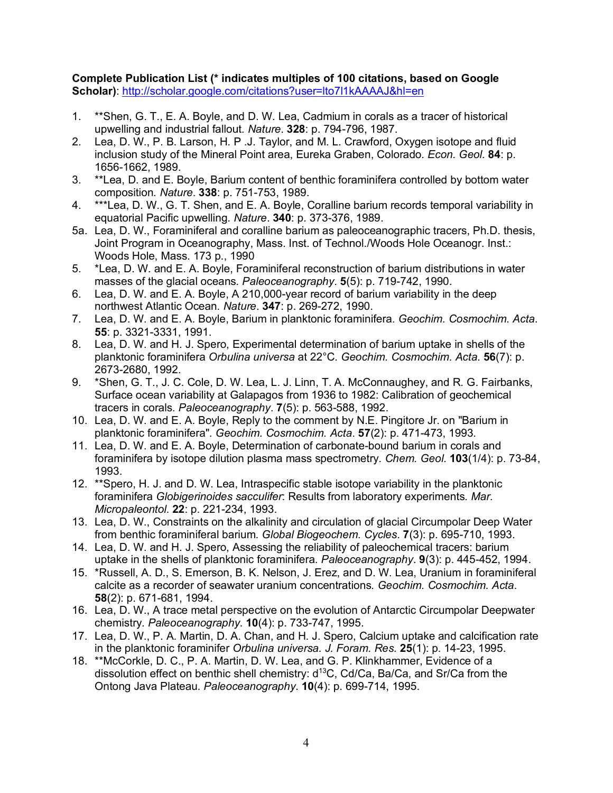**Complete Publication List (\* indicates multiples of 100 citations, based on Google Scholar)**: http://scholar.google.com/citations?user=lto7l1kAAAAJ&hl=en

- 1. \*\*Shen, G. T., E. A. Boyle, and D. W. Lea, Cadmium in corals as a tracer of historical upwelling and industrial fallout*. Nature*. **328**: p. 794-796, 1987.
- 2. Lea, D. W., P. B. Larson, H. P .J. Taylor, and M. L. Crawford, Oxygen isotope and fluid inclusion study of the Mineral Point area, Eureka Graben, Colorado*. Econ. Geol.* **84**: p. 1656-1662, 1989.
- 3. \*\*Lea, D. and E. Boyle, Barium content of benthic foraminifera controlled by bottom water composition*. Nature*. **338**: p. 751-753, 1989.
- 4. \*\*\*Lea, D. W., G. T. Shen, and E. A. Boyle, Coralline barium records temporal variability in equatorial Pacific upwelling*. Nature*. **340**: p. 373-376, 1989.
- 5a. Lea, D. W., Foraminiferal and coralline barium as paleoceanographic tracers, Ph.D. thesis, Joint Program in Oceanography, Mass. Inst. of Technol./Woods Hole Oceanogr. Inst.: Woods Hole, Mass. 173 p., 1990
- 5. \*Lea, D. W. and E. A. Boyle, Foraminiferal reconstruction of barium distributions in water masses of the glacial oceans*. Paleoceanography*. **5**(5): p. 719-742, 1990.
- 6. Lea, D. W. and E. A. Boyle, A 210,000-year record of barium variability in the deep northwest Atlantic Ocean*. Nature*. **347**: p. 269-272, 1990.
- 7. Lea, D. W. and E. A. Boyle, Barium in planktonic foraminifera*. Geochim. Cosmochim. Acta*. **55**: p. 3321-3331, 1991.
- 8. Lea, D. W. and H. J. Spero, Experimental determination of barium uptake in shells of the planktonic foraminifera *Orbulina universa* at 22°C*. Geochim. Cosmochim. Acta*. **56**(7): p. 2673-2680, 1992.
- 9. \*Shen, G. T., J. C. Cole, D. W. Lea, L. J. Linn, T. A. McConnaughey, and R. G. Fairbanks, Surface ocean variability at Galapagos from 1936 to 1982: Calibration of geochemical tracers in corals*. Paleoceanography*. **7**(5): p. 563-588, 1992.
- 10. Lea, D. W. and E. A. Boyle, Reply to the comment by N.E. Pingitore Jr. on "Barium in planktonic foraminifera"*. Geochim. Cosmochim. Acta*. **57**(2): p. 471-473, 1993.
- 11. Lea, D. W. and E. A. Boyle, Determination of carbonate-bound barium in corals and foraminifera by isotope dilution plasma mass spectrometry*. Chem. Geol.* **103**(1/4): p. 73-84, 1993.
- 12. \*\*Spero, H. J. and D. W. Lea, Intraspecific stable isotope variability in the planktonic foraminifera *Globigerinoides sacculifer*: Results from laboratory experiments*. Mar. Micropaleontol.* **22**: p. 221-234, 1993.
- 13. Lea, D. W., Constraints on the alkalinity and circulation of glacial Circumpolar Deep Water from benthic foraminiferal barium*. Global Biogeochem. Cycles*. **7**(3): p. 695-710, 1993.
- 14. Lea, D. W. and H. J. Spero, Assessing the reliability of paleochemical tracers: barium uptake in the shells of planktonic foraminifera*. Paleoceanography*. **9**(3): p. 445-452, 1994.
- 15. \*Russell, A. D., S. Emerson, B. K. Nelson, J. Erez, and D. W. Lea, Uranium in foraminiferal calcite as a recorder of seawater uranium concentrations*. Geochim. Cosmochim. Acta*. **58**(2): p. 671-681, 1994.
- 16. Lea, D. W., A trace metal perspective on the evolution of Antarctic Circumpolar Deepwater chemistry*. Paleoceanography*. **10**(4): p. 733-747, 1995.
- 17. Lea, D. W., P. A. Martin, D. A. Chan, and H. J. Spero, Calcium uptake and calcification rate in the planktonic foraminifer *Orbulina universa. J. Foram. Res.* **25**(1): p. 14-23, 1995.
- 18. \*\*McCorkle, D. C., P. A. Martin, D. W. Lea, and G. P. Klinkhammer, Evidence of a dissolution effect on benthic shell chemistry:  $d^{13}C$ , Cd/Ca, Ba/Ca, and Sr/Ca from the Ontong Java Plateau*. Paleoceanography*. **10**(4): p. 699-714, 1995.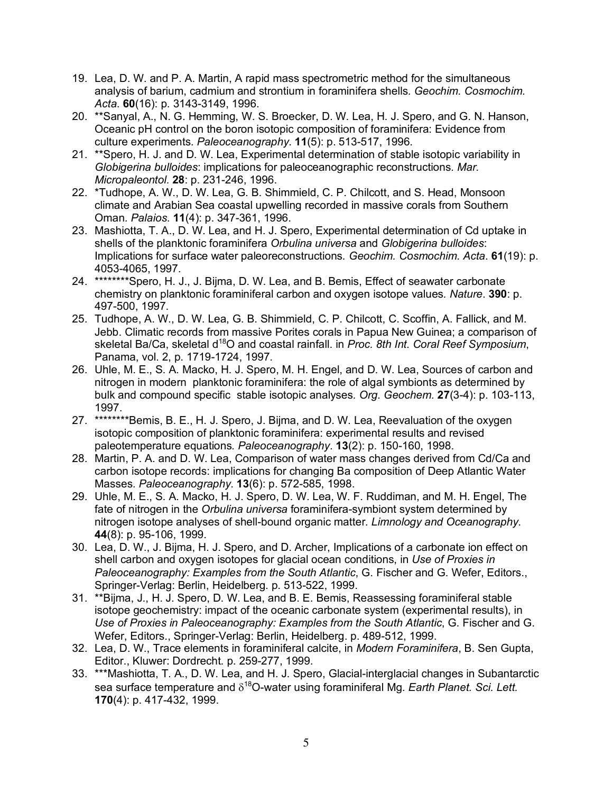- 19. Lea, D. W. and P. A. Martin, A rapid mass spectrometric method for the simultaneous analysis of barium, cadmium and strontium in foraminifera shells*. Geochim. Cosmochim. Acta*. **60**(16): p. 3143-3149, 1996.
- 20. \*\*Sanyal, A., N. G. Hemming, W. S. Broecker, D. W. Lea, H. J. Spero, and G. N. Hanson, Oceanic pH control on the boron isotopic composition of foraminifera: Evidence from culture experiments*. Paleoceanography*. **11**(5): p. 513-517, 1996.
- 21. \*\*Spero, H. J. and D. W. Lea, Experimental determination of stable isotopic variability in *Globigerina bulloides*: implications for paleoceanographic reconstructions*. Mar. Micropaleontol.* **28**: p. 231-246, 1996.
- 22. \*Tudhope, A. W., D. W. Lea, G. B. Shimmield, C. P. Chilcott, and S. Head, Monsoon climate and Arabian Sea coastal upwelling recorded in massive corals from Southern Oman*. Palaios*. **11**(4): p. 347-361, 1996.
- 23. Mashiotta, T. A., D. W. Lea, and H. J. Spero, Experimental determination of Cd uptake in shells of the planktonic foraminifera *Orbulina universa* and *Globigerina bulloides*: Implications for surface water paleoreconstructions*. Geochim. Cosmochim. Acta*. **61**(19): p. 4053-4065, 1997.
- 24. \*\*\*\*\*\*\*\*Spero, H. J., J. Bijma, D. W. Lea, and B. Bemis, Effect of seawater carbonate chemistry on planktonic foraminiferal carbon and oxygen isotope values*. Nature*. **390**: p. 497-500, 1997.
- 25. Tudhope, A. W., D. W. Lea, G. B. Shimmield, C. P. Chilcott, C. Scoffin, A. Fallick, and M. Jebb. Climatic records from massive Porites corals in Papua New Guinea; a comparison of skeletal Ba/Ca, skeletal d<sup>18</sup>O and coastal rainfall. in *Proc. 8th Int. Coral Reef Symposium*, Panama, vol. 2, p. 1719-1724, 1997.
- 26. Uhle, M. E., S. A. Macko, H. J. Spero, M. H. Engel, and D. W. Lea, Sources of carbon and nitrogen in modern planktonic foraminifera: the role of algal symbionts as determined by bulk and compound specific stable isotopic analyses*. Org. Geochem.* **27**(3-4): p. 103-113, 1997.
- 27. \*\*\*\*\*\*\*\*Bemis, B. E., H. J. Spero, J. Bijma, and D. W. Lea, Reevaluation of the oxygen isotopic composition of planktonic foraminifera: experimental results and revised paleotemperature equations*. Paleoceanography*. **13**(2): p. 150-160, 1998.
- 28. Martin, P. A. and D. W. Lea, Comparison of water mass changes derived from Cd/Ca and carbon isotope records: implications for changing Ba composition of Deep Atlantic Water Masses*. Paleoceanography*. **13**(6): p. 572-585, 1998.
- 29. Uhle, M. E., S. A. Macko, H. J. Spero, D. W. Lea, W. F. Ruddiman, and M. H. Engel, The fate of nitrogen in the *Orbulina universa* foraminifera-symbiont system determined by nitrogen isotope analyses of shell-bound organic matter*. Limnology and Oceanography*. **44**(8): p. 95-106, 1999.
- 30. Lea, D. W., J. Bijma, H. J. Spero, and D. Archer, Implications of a carbonate ion effect on shell carbon and oxygen isotopes for glacial ocean conditions, in *Use of Proxies in Paleoceanography: Examples from the South Atlantic*, G. Fischer and G. Wefer, Editors., Springer-Verlag: Berlin, Heidelberg. p. 513-522, 1999.
- 31. \*\*Bijma, J., H. J. Spero, D. W. Lea, and B. E. Bemis, Reassessing foraminiferal stable isotope geochemistry: impact of the oceanic carbonate system (experimental results), in *Use of Proxies in Paleoceanography: Examples from the South Atlantic*, G. Fischer and G. Wefer, Editors., Springer-Verlag: Berlin, Heidelberg. p. 489-512, 1999.
- 32. Lea, D. W., Trace elements in foraminiferal calcite, in *Modern Foraminifera*, B. Sen Gupta, Editor., Kluwer: Dordrecht. p. 259-277, 1999.
- 33. \*\*\*Mashiotta, T. A., D. W. Lea, and H. J. Spero, Glacial-interglacial changes in Subantarctic sea surface temperature and  $\delta^{18}$ O-water using foraminiferal Mg. Earth Planet. Sci. Lett. **170**(4): p. 417-432, 1999.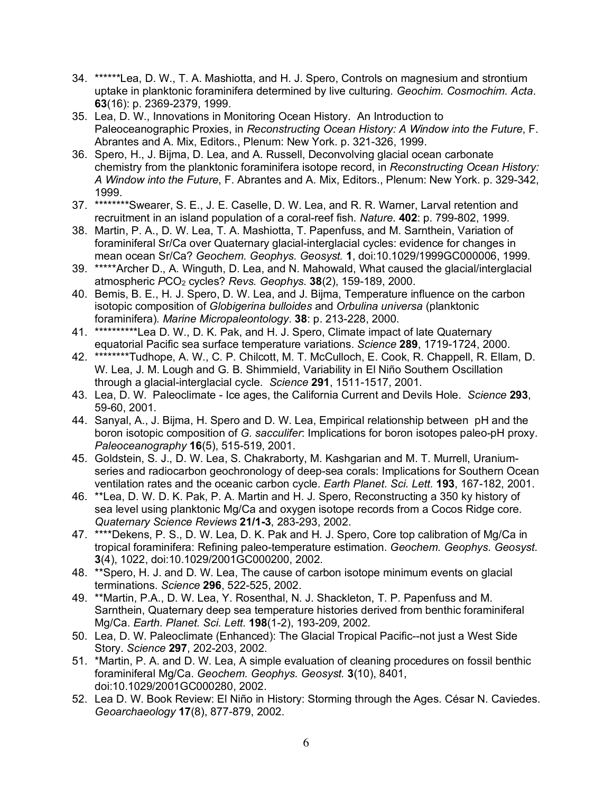- 34. \*\*\*\*\*\*Lea, D. W., T. A. Mashiotta, and H. J. Spero, Controls on magnesium and strontium uptake in planktonic foraminifera determined by live culturing*. Geochim. Cosmochim. Acta*. **63**(16): p. 2369-2379, 1999.
- 35. Lea, D. W., Innovations in Monitoring Ocean History. An Introduction to Paleoceanographic Proxies, in *Reconstructing Ocean History: A Window into the Future*, F. Abrantes and A. Mix, Editors., Plenum: New York. p. 321-326, 1999.
- 36. Spero, H., J. Bijma, D. Lea, and A. Russell, Deconvolving glacial ocean carbonate chemistry from the planktonic foraminifera isotope record, in *Reconstructing Ocean History: A Window into the Future*, F. Abrantes and A. Mix, Editors., Plenum: New York. p. 329-342, 1999.
- 37. \*\*\*\*\*\*\*\*Swearer, S. E., J. E. Caselle, D. W. Lea, and R. R. Warner, Larval retention and recruitment in an island population of a coral-reef fish*. Nature*. **402**: p. 799-802, 1999.
- 38. Martin, P. A., D. W. Lea, T. A. Mashiotta, T. Papenfuss, and M. Sarnthein, Variation of foraminiferal Sr/Ca over Quaternary glacial-interglacial cycles: evidence for changes in mean ocean Sr/Ca? *Geochem. Geophys. Geosyst.* **1**, doi:10.1029/1999GC000006, 1999.
- 39. \*\*\*\*\*Archer D., A. Winguth, D. Lea, and N. Mahowald, What caused the glacial/interglacial atmospheric *P*CO2 cycles? *Revs. Geophys.* **38**(2), 159-189, 2000.
- 40. Bemis, B. E., H. J. Spero, D. W. Lea, and J. Bijma, Temperature influence on the carbon isotopic composition of *Globigerina bulloides* and *Orbulina universa* (planktonic foraminifera)*. Marine Micropaleontology*. **38**: p. 213-228, 2000.
- 41. \*\*\*\*\*\*\*\*\*\*Lea D. W., D. K. Pak, and H. J. Spero, Climate impact of late Quaternary equatorial Pacific sea surface temperature variations. *Science* **289**, 1719-1724, 2000.
- 42. \*\*\*\*\*\*\*\*Tudhope, A. W., C. P. Chilcott, M. T. McCulloch, E. Cook, R. Chappell, R. Ellam, D. W. Lea, J. M. Lough and G. B. Shimmield, Variability in El Niño Southern Oscillation through a glacial-interglacial cycle. *Science* **291**, 1511-1517, 2001.
- 43. Lea, D. W. Paleoclimate Ice ages, the California Current and Devils Hole. *Science* **293**, 59-60, 2001.
- 44. Sanyal, A., J. Bijma, H. Spero and D. W. Lea, Empirical relationship between pH and the boron isotopic composition of *G. sacculifer*: Implications for boron isotopes paleo-pH proxy. *Paleoceanography* **16**(5), 515-519, 2001.
- 45. Goldstein, S. J., D. W. Lea, S. Chakraborty, M. Kashgarian and M. T. Murrell, Uraniumseries and radiocarbon geochronology of deep-sea corals: Implications for Southern Ocean ventilation rates and the oceanic carbon cycle. *Earth Planet. Sci. Lett.* **193**, 167-182, 2001.
- 46. \*\*Lea, D. W. D. K. Pak, P. A. Martin and H. J. Spero, Reconstructing a 350 ky history of sea level using planktonic Mg/Ca and oxygen isotope records from a Cocos Ridge core. *Quaternary Science Reviews* **21/1-3**, 283-293, 2002.
- 47. \*\*\*\*Dekens, P. S., D. W. Lea, D. K. Pak and H. J. Spero, Core top calibration of Mg/Ca in tropical foraminifera: Refining paleo-temperature estimation. *Geochem. Geophys. Geosyst.* **3**(4), 1022, doi:10.1029/2001GC000200, 2002.
- 48. \*\*Spero, H. J. and D. W. Lea, The cause of carbon isotope minimum events on glacial terminations. *Science* **296**, 522-525, 2002.
- 49. \*\*Martin, P.A., D. W. Lea, Y. Rosenthal, N. J. Shackleton, T. P. Papenfuss and M. Sarnthein, Quaternary deep sea temperature histories derived from benthic foraminiferal Mg/Ca. *Earth. Planet. Sci. Lett.* **198**(1-2), 193-209, 2002.
- 50. Lea, D. W. Paleoclimate (Enhanced): The Glacial Tropical Pacific--not just a West Side Story. *Science* **297**, 202-203, 2002.
- 51. \*Martin, P. A. and D. W. Lea, A simple evaluation of cleaning procedures on fossil benthic foraminiferal Mg/Ca. *Geochem. Geophys. Geosyst.* **3**(10), 8401, doi:10.1029/2001GC000280, 2002.
- 52. Lea D. W. Book Review: El Niño in History: Storming through the Ages. César N. Caviedes. *Geoarchaeology* **17**(8), 877-879, 2002.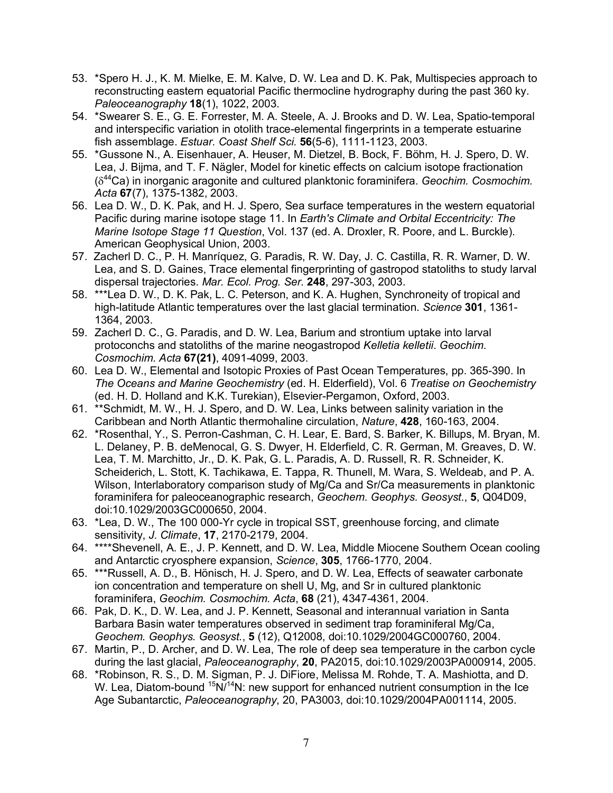- 53. \*Spero H. J., K. M. Mielke, E. M. Kalve, D. W. Lea and D. K. Pak, Multispecies approach to reconstructing eastern equatorial Pacific thermocline hydrography during the past 360 ky. *Paleoceanography* **18**(1), 1022, 2003.
- 54. \*Swearer S. E., G. E. Forrester, M. A. Steele, A. J. Brooks and D. W. Lea, Spatio-temporal and interspecific variation in otolith trace-elemental fingerprints in a temperate estuarine fish assemblage. *Estuar. Coast Shelf Sci.* **56**(5-6), 1111-1123, 2003.
- 55. \*Gussone N., A. Eisenhauer, A. Heuser, M. Dietzel, B. Bock, F. Böhm, H. J. Spero, D. W. Lea, J. Bijma, and T. F. Nägler, Model for kinetic effects on calcium isotope fractionation (d44Ca) in inorganic aragonite and cultured planktonic foraminifera. *Geochim. Cosmochim. Acta* **67**(7), 1375-1382, 2003.
- 56. Lea D. W., D. K. Pak, and H. J. Spero, Sea surface temperatures in the western equatorial Pacific during marine isotope stage 11. In *Earth's Climate and Orbital Eccentricity: The Marine Isotope Stage 11 Question*, Vol. 137 (ed. A. Droxler, R. Poore, and L. Burckle). American Geophysical Union, 2003.
- 57. Zacherl D. C., P. H. Manríquez, G. Paradis, R. W. Day, J. C. Castilla, R. R. Warner, D. W. Lea, and S. D. Gaines, Trace elemental fingerprinting of gastropod statoliths to study larval dispersal trajectories. *Mar. Ecol. Prog. Ser.* **248**, 297-303, 2003.
- 58. \*\*\*Lea D. W., D. K. Pak, L. C. Peterson, and K. A. Hughen, Synchroneity of tropical and high-latitude Atlantic temperatures over the last glacial termination. *Science* **301**, 1361- 1364, 2003.
- 59. Zacherl D. C., G. Paradis, and D. W. Lea, Barium and strontium uptake into larval protoconchs and statoliths of the marine neogastropod *Kelletia kelletii*. *Geochim. Cosmochim. Acta* **67(21)**, 4091-4099, 2003.
- 60. Lea D. W., Elemental and Isotopic Proxies of Past Ocean Temperatures, pp. 365-390. In *The Oceans and Marine Geochemistry* (ed. H. Elderfield), Vol. 6 *Treatise on Geochemistry* (ed. H. D. Holland and K.K. Turekian), Elsevier-Pergamon, Oxford, 2003.
- 61. \*\*Schmidt, M. W., H. J. Spero, and D. W. Lea, Links between salinity variation in the Caribbean and North Atlantic thermohaline circulation, *Nature*, **428**, 160-163, 2004.
- 62. \*Rosenthal, Y., S. Perron-Cashman, C. H. Lear, E. Bard, S. Barker, K. Billups, M. Bryan, M. L. Delaney, P. B. deMenocal, G. S. Dwyer, H. Elderfield, C. R. German, M. Greaves, D. W. Lea, T. M. Marchitto, Jr., D. K. Pak, G. L. Paradis, A. D. Russell, R. R. Schneider, K. Scheiderich, L. Stott, K. Tachikawa, E. Tappa, R. Thunell, M. Wara, S. Weldeab, and P. A. Wilson, Interlaboratory comparison study of Mg/Ca and Sr/Ca measurements in planktonic foraminifera for paleoceanographic research, *Geochem. Geophys. Geosyst*., **5**, Q04D09, doi:10.1029/2003GC000650, 2004.
- 63. \*Lea, D. W., The 100 000-Yr cycle in tropical SST, greenhouse forcing, and climate sensitivity, *J. Climate*, **17**, 2170-2179, 2004.
- 64. \*\*\*\*Shevenell, A. E., J. P. Kennett, and D. W. Lea, Middle Miocene Southern Ocean cooling and Antarctic cryosphere expansion, *Science*, **305**, 1766-1770, 2004.
- 65. \*\*\*Russell, A. D., B. Hönisch, H. J. Spero, and D. W. Lea, Effects of seawater carbonate ion concentration and temperature on shell U, Mg, and Sr in cultured planktonic foraminifera, *Geochim. Cosmochim. Acta*, **68** (21), 4347-4361, 2004.
- 66. Pak, D. K., D. W. Lea, and J. P. Kennett, Seasonal and interannual variation in Santa Barbara Basin water temperatures observed in sediment trap foraminiferal Mg/Ca, *Geochem. Geophys. Geosyst.*, **5** (12), Q12008, doi:10.1029/2004GC000760, 2004.
- 67. Martin, P., D. Archer, and D. W. Lea, The role of deep sea temperature in the carbon cycle during the last glacial, *Paleoceanography*, **20**, PA2015, doi:10.1029/2003PA000914, 2005.
- 68. \*Robinson, R. S., D. M. Sigman, P. J. DiFiore, Melissa M. Rohde, T. A. Mashiotta, and D. W. Lea, Diatom-bound  $15N^{14}N$ : new support for enhanced nutrient consumption in the Ice Age Subantarctic, *Paleoceanography*, 20, PA3003, doi:10.1029/2004PA001114, 2005.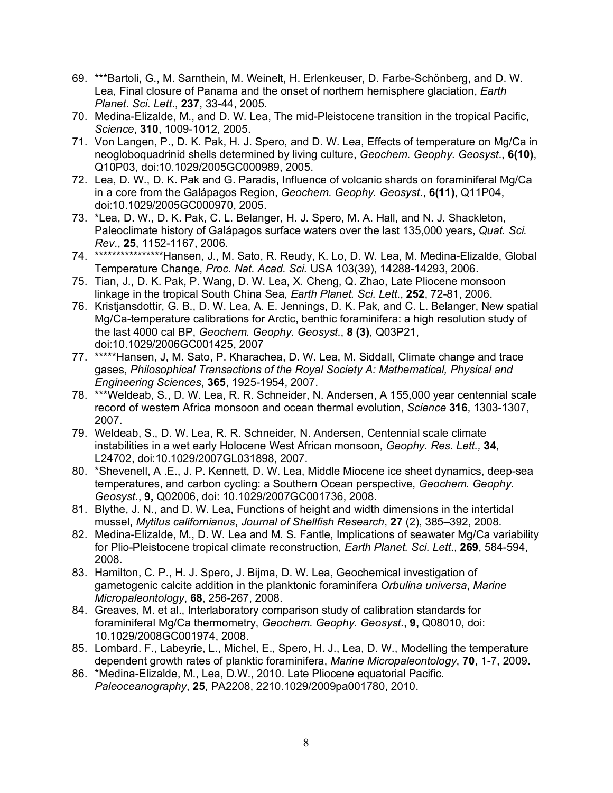- 69. \*\*\*Bartoli, G., M. Sarnthein, M. Weinelt, H. Erlenkeuser, D. Farbe-Schönberg, and D. W. Lea, Final closure of Panama and the onset of northern hemisphere glaciation, *Earth Planet. Sci. Lett*., **237**, 33-44, 2005.
- 70. Medina-Elizalde, M., and D. W. Lea, The mid-Pleistocene transition in the tropical Pacific, *Science*, **310**, 1009-1012, 2005.
- 71. Von Langen, P., D. K. Pak, H. J. Spero, and D. W. Lea, Effects of temperature on Mg/Ca in neogloboquadrinid shells determined by living culture, *Geochem. Geophy. Geosyst*., **6(10)**, Q10P03, doi:10.1029/2005GC000989, 2005.
- 72. Lea, D. W., D. K. Pak and G. Paradis, Influence of volcanic shards on foraminiferal Mg/Ca in a core from the Galápagos Region, *Geochem. Geophy. Geosyst.*, **6(11)**, Q11P04, doi:10.1029/2005GC000970, 2005.
- 73. \*Lea, D. W., D. K. Pak, C. L. Belanger, H. J. Spero, M. A. Hall, and N. J. Shackleton, Paleoclimate history of Galápagos surface waters over the last 135,000 years, *Quat. Sci. Rev*., **25**, 1152-1167, 2006.
- 74. \*\*\*\*\*\*\*\*\*\*\*\*\*\*\*\*Hansen, J., M. Sato, R. Reudy, K. Lo, D. W. Lea, M. Medina-Elizalde, Global Temperature Change, *Proc. Nat. Acad. Sci.* USA 103(39), 14288-14293, 2006.
- 75. Tian, J., D. K. Pak, P. Wang, D. W. Lea, X. Cheng, Q. Zhao, Late Pliocene monsoon linkage in the tropical South China Sea, *Earth Planet. Sci. Lett*., **252**, 72-81, 2006.
- 76. Kristjansdottir, G. B., D. W. Lea, A. E. Jennings, D. K. Pak, and C. L. Belanger, New spatial Mg/Ca-temperature calibrations for Arctic, benthic foraminifera: a high resolution study of the last 4000 cal BP, *Geochem. Geophy. Geosyst*., **8 (3)**, Q03P21, doi:10.1029/2006GC001425, 2007
- 77. \*\*\*\*\*Hansen, J, M. Sato, P. Kharachea, D. W. Lea, M. Siddall, Climate change and trace gases, *Philosophical Transactions of the Royal Society A: Mathematical, Physical and Engineering Sciences*, **365**, 1925-1954, 2007.
- 78. \*\*\*Weldeab, S., D. W. Lea, R. R. Schneider, N. Andersen, A 155,000 year centennial scale record of western Africa monsoon and ocean thermal evolution, *Science* **316**, 1303-1307, 2007.
- 79. Weldeab, S., D. W. Lea, R. R. Schneider, N. Andersen, Centennial scale climate instabilities in a wet early Holocene West African monsoon, *Geophy. Res. Lett.,* **34**, L24702, doi:10.1029/2007GL031898, 2007.
- 80. \*Shevenell, A .E., J. P. Kennett, D. W. Lea, Middle Miocene ice sheet dynamics, deep-sea temperatures, and carbon cycling: a Southern Ocean perspective, *Geochem. Geophy. Geosyst*., **9,** Q02006, doi: 10.1029/2007GC001736, 2008.
- 81. Blythe, J. N., and D. W. Lea, Functions of height and width dimensions in the intertidal mussel, *Mytilus californianus*, *Journal of Shellfish Research*, **27** (2), 385–392, 2008.
- 82. Medina-Elizalde, M., D. W. Lea and M. S. Fantle, Implications of seawater Mg/Ca variability for Plio-Pleistocene tropical climate reconstruction, *Earth Planet. Sci. Lett*., **269**, 584-594, 2008.
- 83. Hamilton, C. P., H. J. Spero, J. Bijma, D. W. Lea, Geochemical investigation of gametogenic calcite addition in the planktonic foraminifera *Orbulina universa*, *Marine Micropaleontology*, **68**, 256-267, 2008.
- 84. Greaves, M. et al., Interlaboratory comparison study of calibration standards for foraminiferal Mg/Ca thermometry, *Geochem. Geophy. Geosyst*., **9,** Q08010, doi: 10.1029/2008GC001974, 2008.
- 85. Lombard. F., Labeyrie, L., Michel, E., Spero, H. J., Lea, D. W., Modelling the temperature dependent growth rates of planktic foraminifera, *Marine Micropaleontology*, **70**, 1-7, 2009.
- 86. \*Medina-Elizalde, M., Lea, D.W., 2010. Late Pliocene equatorial Pacific. *Paleoceanography*, **25**, PA2208, 2210.1029/2009pa001780, 2010.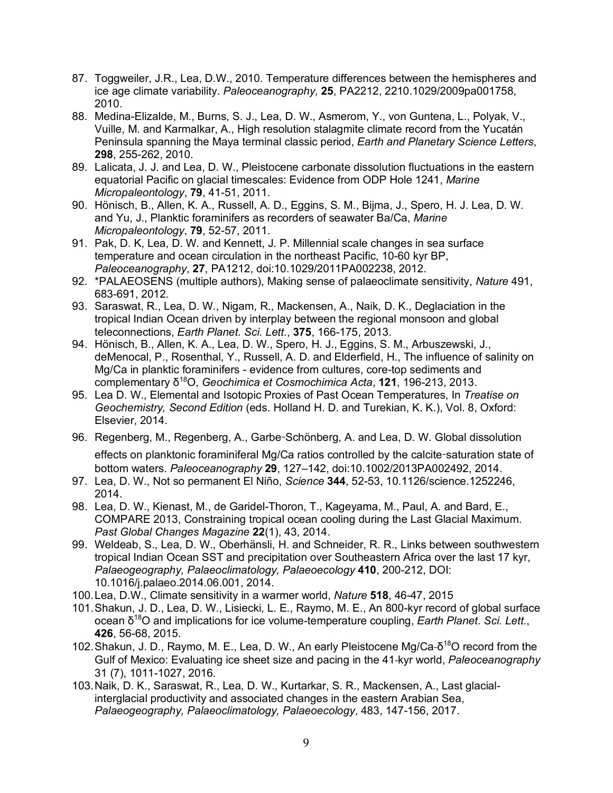- 87. Toggweiler, J.R., Lea, D.W., 2010. Temperature differences between the hemispheres and ice age climate variability. *Paleoceanography,* **25**, PA2212, 2210.1029/2009pa001758, 2010.
- 88. Medina-Elizalde, M., Burns, S. J., Lea, D. W., Asmerom, Y., von Guntena, L., Polyak, V., Vuille, M. and Karmalkar, A., High resolution stalagmite climate record from the Yucatán Peninsula spanning the Maya terminal classic period, *Earth and Planetary Science Letters*, **298**, 255-262, 2010.
- 89. Lalicata, J. J. and Lea, D. W., Pleistocene carbonate dissolution fluctuations in the eastern equatorial Pacific on glacial timescales: Evidence from ODP Hole 1241, *Marine Micropaleontology*, **79**, 41-51, 2011.
- 90. Hönisch, B., Allen, K. A., Russell, A. D., Eggins, S. M., Bijma, J., Spero, H. J. Lea, D. W. and Yu, J., Planktic foraminifers as recorders of seawater Ba/Ca, *Marine Micropaleontology*, **79**, 52-57, 2011.
- 91. Pak, D. K, Lea, D. W. and Kennett, J. P. Millennial scale changes in sea surface temperature and ocean circulation in the northeast Pacific, 10-60 kyr BP, *Paleoceanography*, **27**, PA1212, doi:10.1029/2011PA002238, 2012.
- 92. \*PALAEOSENS (multiple authors), Making sense of palaeoclimate sensitivity, *Nature* 491, 683-691, 2012.
- 93. Saraswat, R., Lea, D. W., Nigam, R., Mackensen, A., Naik, D. K., Deglaciation in the tropical Indian Ocean driven by interplay between the regional monsoon and global teleconnections, *Earth Planet. Sci. Lett.*, **375**, 166-175, 2013.
- 94. Hönisch, B., Allen, K. A., Lea, D. W., Spero, H. J., Eggins, S. M., Arbuszewski, J., deMenocal, P., Rosenthal, Y., Russell, A. D. and Elderfield, H., The influence of salinity on Mg/Ca in planktic foraminifers - evidence from cultures, core-top sediments and complementary δ18O, *Geochimica et Cosmochimica Acta*, **121**, 196-213, 2013.
- 95. Lea D. W., Elemental and Isotopic Proxies of Past Ocean Temperatures, In *Treatise on Geochemistry, Second Edition* (eds. Holland H. D. and Turekian, K. K.), Vol. 8, Oxford: Elsevier, 2014.
- 96. Regenberg, M., Regenberg, A., Garbe-Schönberg, A. and Lea, D. W. Global dissolution effects on planktonic foraminiferal Mg/Ca ratios controlled by the calcite-saturation state of bottom waters. *Paleoceanography* **29**, 127–142, doi:10.1002/2013PA002492, 2014.
- 97. Lea, D. W., Not so permanent El Niño, *Science* **344**, 52-53, 10.1126/science.1252246, 2014.
- 98. Lea, D. W., Kienast, M., de Garidel-Thoron, T., Kageyama, M., Paul, A. and Bard, E., COMPARE 2013, Constraining tropical ocean cooling during the Last Glacial Maximum. *Past Global Changes Magazine* **22**(1), 43, 2014.
- 99. Weldeab, S., Lea, D. W., Oberhänsli, H. and Schneider, R. R., Links between southwestern tropical Indian Ocean SST and precipitation over Southeastern Africa over the last 17 kyr, *Palaeogeography, Palaeoclimatology, Palaeoecology* **410**, 200-212, DOI: 10.1016/j.palaeo.2014.06.001, 2014.
- 100.Lea, D.W., Climate sensitivity in a warmer world, *Nature* **518**, 46-47, 2015
- 101.Shakun, J. D., Lea, D. W., Lisiecki, L. E., Raymo, M. E., An 800-kyr record of global surface ocean δ18O and implications for ice volume-temperature coupling, *Earth Planet. Sci. Lett.*, **426**, 56-68, 2015.
- 102. Shakun, J. D., Raymo, M. E., Lea, D. W., An early Pleistocene Mg/Ca- $\delta^{18}O$  record from the Gulf of Mexico: Evaluating ice sheet size and pacing in the 41-kyr world, *Paleoceanography* 31 (7), 1011-1027, 2016.
- 103.Naik, D. K., Saraswat, R., Lea, D. W., Kurtarkar, S. R., Mackensen, A., Last glacialinterglacial productivity and associated changes in the eastern Arabian Sea, *Palaeogeography, Palaeoclimatology, Palaeoecology*, 483, 147-156, 2017.